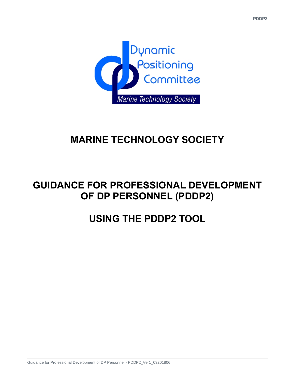

# **MARINE TECHNOLOGY SOCIETY**

# **GUIDANCE FOR PROFESSIONAL DEVELOPMENT OF DP PERSONNEL (PDDP2)**

# **USING THE PDDP2 TOOL**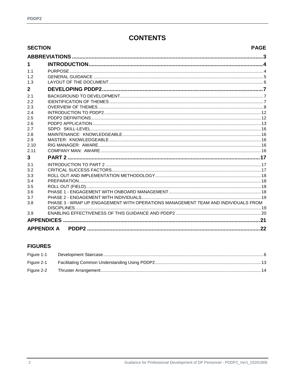# **CONTENTS**

| <b>SECTION</b><br><b>PAGE</b> |                                                                                   |     |  |  |  |
|-------------------------------|-----------------------------------------------------------------------------------|-----|--|--|--|
|                               |                                                                                   |     |  |  |  |
| $\mathbf 1$                   |                                                                                   |     |  |  |  |
| 1.1                           |                                                                                   |     |  |  |  |
| 1.2                           |                                                                                   |     |  |  |  |
| 1.3                           |                                                                                   |     |  |  |  |
| $\overline{2}$                |                                                                                   |     |  |  |  |
| 2.1                           |                                                                                   |     |  |  |  |
| 2.2                           |                                                                                   |     |  |  |  |
| 2.3                           |                                                                                   |     |  |  |  |
| 2.4                           |                                                                                   |     |  |  |  |
| 2.5                           |                                                                                   |     |  |  |  |
| 2.6<br>2.7                    |                                                                                   |     |  |  |  |
| 2.8                           |                                                                                   |     |  |  |  |
| 2.9                           |                                                                                   |     |  |  |  |
| 2.10                          |                                                                                   |     |  |  |  |
| 2.11                          |                                                                                   |     |  |  |  |
| 3                             |                                                                                   |     |  |  |  |
| 3.1                           |                                                                                   |     |  |  |  |
| 3.2                           |                                                                                   |     |  |  |  |
| 3.3                           |                                                                                   |     |  |  |  |
| 3.4                           |                                                                                   |     |  |  |  |
| 3.5                           |                                                                                   |     |  |  |  |
| 3.6                           |                                                                                   |     |  |  |  |
| 3.7<br>3.8                    | PHASE 3 - WRAP UP ENGAGEMENT WITH OPERATIONS MANAGEMENT TEAM AND INDIVIDUALS FROM |     |  |  |  |
|                               |                                                                                   |     |  |  |  |
| 3.9                           |                                                                                   |     |  |  |  |
|                               |                                                                                   |     |  |  |  |
|                               | <b>APPENDIX A</b>                                                                 | .22 |  |  |  |
|                               |                                                                                   |     |  |  |  |

### **FIGURES**

| Figure 1-1 |  |
|------------|--|
| Figure 2-1 |  |
| Figure 2-2 |  |
|            |  |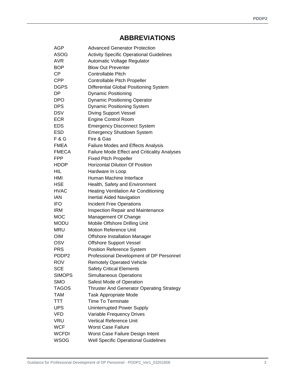## **ABBREVIATIONS**

| AGP               | <b>Advanced Generator Protection</b>                |
|-------------------|-----------------------------------------------------|
| <b>ASOG</b>       | <b>Activity Specific Operational Guidelines</b>     |
| <b>AVR</b>        | Automatic Voltage Regulator                         |
| <b>BOP</b>        | <b>Blow Out Preventer</b>                           |
| <b>CP</b>         | <b>Controllable Pitch</b>                           |
| <b>CPP</b>        | Controllable Pitch Propeller                        |
| <b>DGPS</b>       | <b>Differential Global Positioning System</b>       |
| DP                | <b>Dynamic Positioning</b>                          |
| <b>DPO</b>        | <b>Dynamic Positioning Operator</b>                 |
| <b>DPS</b>        | <b>Dynamic Positioning System</b>                   |
| <b>DSV</b>        | <b>Diving Support Vessel</b>                        |
| <b>ECR</b>        | <b>Engine Control Room</b>                          |
| <b>EDS</b>        | <b>Emergency Disconnect System</b>                  |
| <b>ESD</b>        | <b>Emergency Shutdown System</b>                    |
| <b>F&amp;G</b>    | Fire & Gas                                          |
| <b>FMEA</b>       | Failure Modes and Effects Analysis                  |
| <b>FMECA</b>      | <b>Failure Mode Effect and Criticality Analyses</b> |
| <b>FPP</b>        | <b>Fixed Pitch Propeller</b>                        |
| <b>HDOP</b>       | <b>Horizontal Dilution Of Position</b>              |
| HIL               | Hardware In Loop                                    |
| HMI               | Human Machine Interface                             |
| <b>HSE</b>        | Health, Safety and Environment                      |
| <b>HVAC</b>       | <b>Heating Ventilation Air Conditioning</b>         |
| <b>IAN</b>        | Inertial Aided Navigation                           |
| <b>IFO</b>        | <b>Incident Free Operations</b>                     |
| <b>IRM</b>        | Inspection Repair and Maintenance                   |
| <b>MOC</b>        | Management Of Change                                |
| <b>MODU</b>       | Mobile Offshore Drilling Unit                       |
| <b>MRU</b>        | <b>Motion Reference Unit</b>                        |
| <b>OIM</b>        | <b>Offshore Installation Manager</b>                |
| OSV               | <b>Offshore Support Vessel</b>                      |
| <b>PRS</b>        | <b>Position Reference System</b>                    |
| PDDP <sub>2</sub> | Professional Development of DP Personnel            |
| <b>ROV</b>        | <b>Remotely Operated Vehicle</b>                    |
| <b>SCE</b>        | <b>Safety Critical Elements</b>                     |
| <b>SIMOPS</b>     | <b>Simultaneous Operations</b>                      |
| <b>SMO</b>        | Safest Mode of Operation                            |
| <b>TAGOS</b>      | <b>Thruster And Generator Operating Strategy</b>    |
| <b>TAM</b>        | <b>Task Appropriate Mode</b>                        |
| TTT               | <b>Time To Terminate</b>                            |
| <b>UPS</b>        | <b>Uninterrupted Power Supply</b>                   |
| VFD               | Variable Frequency Drives                           |
| <b>VRU</b>        | <b>Vertical Reference Unit</b>                      |
| <b>WCF</b>        | <b>Worst Case Failure</b>                           |
| <b>WCFDI</b>      | Worst Case Failure Design Intent                    |
| <b>WSOG</b>       | <b>Well Specific Operational Guidelines</b>         |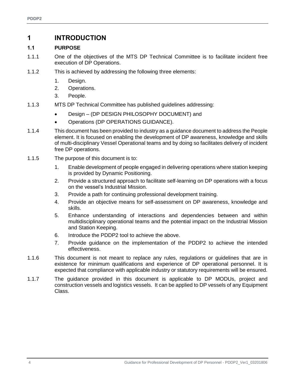### **1 INTRODUCTION**

#### **1.1 PURPOSE**

- 1.1.1 One of the objectives of the MTS DP Technical Committee is to facilitate incident free execution of DP Operations.
- 1.1.2 This is achieved by addressing the following three elements:
	- 1. Design.
	- 2. Operations.
	- 3. People.
- 1.1.3 MTS DP Technical Committee has published guidelines addressing:
	- Design (DP DESIGN PHILOSOPHY DOCUMENT) and
	- Operations (DP OPERATIONS GUIDANCE).
- 1.1.4 This document has been provided to industry as a guidance document to address the People element. It is focused on enabling the development of DP awareness, knowledge and skills of multi-disciplinary Vessel Operational teams and by doing so facilitates delivery of incident free DP operations.
- 1.1.5 The purpose of this document is to:
	- 1. Enable development of people engaged in delivering operations where station keeping is provided by Dynamic Positioning.
	- 2. Provide a structured approach to facilitate self-learning on DP operations with a focus on the vessel's Industrial Mission.
	- 3. Provide a path for continuing professional development training.
	- 4. Provide an objective means for self-assessment on DP awareness, knowledge and skills.
	- 5. Enhance understanding of interactions and dependencies between and within multidisciplinary operational teams and the potential impact on the Industrial Mission and Station Keeping.
	- 6. Introduce the PDDP2 tool to achieve the above.
	- 7. Provide guidance on the implementation of the PDDP2 to achieve the intended effectiveness.
- 1.1.6 This document is not meant to replace any rules, regulations or guidelines that are in existence for minimum qualifications and experience of DP operational personnel. It is expected that compliance with applicable industry or statutory requirements will be ensured.
- 1.1.7 The guidance provided in this document is applicable to DP MODUs, project and construction vessels and logistics vessels. It can be applied to DP vessels of any Equipment Class.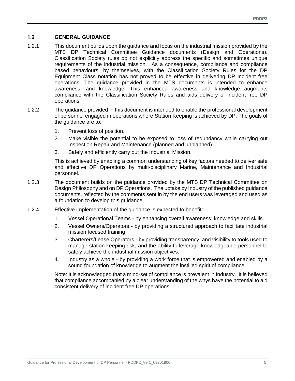#### **1.2 GENERAL GUIDANCE**

- 1.2.1 This document builds upon the guidance and focus on the industrial mission provided by the MTS DP Technical Committee Guidance documents (Design and Operations). Classification Society rules do not explicitly address the specific and sometimes unique requirements of the industrial mission. As a consequence, compliance and compliance based behaviours, by themselves, with the Classification Society Rules for the DP Equipment Class notation has not proved to be effective in delivering DP incident free operations. The guidance provided in the MTS documents is intended to enhance awareness, and knowledge. This enhanced awareness and knowledge augments compliance with the Classification Society Rules and aids delivery of incident free DP operations.
- 1.2.2 The guidance provided in this document is intended to enable the professional development of personnel engaged in operations where Station Keeping is achieved by DP. The goals of the guidance are to:
	- 1. Prevent loss of position.
	- 2. Make visible the potential to be exposed to loss of redundancy while carrying out Inspection Repair and Maintenance (planned and unplanned).
	- 3. Safely and efficiently carry out the Industrial Mission.

This is achieved by enabling a common understanding of key factors needed to deliver safe and effective DP Operations by multi-disciplinary Marine, Maintenance and Industrial personnel.

- 1.2.3 The document builds on the guidance provided by the MTS DP Technical Committee on Design Philosophy and on DP Operations. The uptake by Industry of the published guidance documents, reflected by the comments sent in by the end users was leveraged and used as a foundation to develop this guidance.
- 1.2.4 Effective implementation of the guidance is expected to benefit:
	- 1. Vessel Operational Teams by enhancing overall awareness, knowledge and skills.
	- 2. Vessel Owners/Operators by providing a structured approach to facilitate industrial mission focused training.
	- 3. Charterers/Lease Operators by providing transparency, and visibility to tools used to manage station keeping risk, and the ability to leverage knowledgeable personnel to safely achieve the industrial mission objectives.
	- 4. Industry as a whole by providing a work force that is empowered and enabled by a sound foundation of knowledge to augment the instilled spirit of compliance.

Note: It is acknowledged that a mind-set of compliance is prevalent in Industry. It is believed that compliance accompanied by a clear understanding of the whys have the potential to aid consistent delivery of incident free DP operations.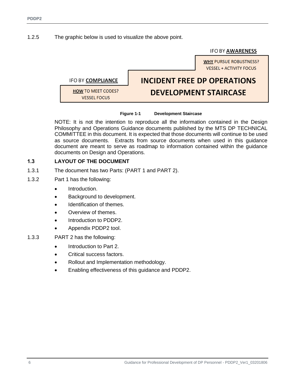#### 1.2.5 The graphic below is used to visualize the above point.

**IFO BY AWARENESS** 

**WHY PURSUE ROBUSTNESS? VESSEL + ACTIVITY FOCUS INCIDENT FREE DP OPERATIONS IFO BY COMPLIANCE HOW TO MEET CODES? DEVELOPMENT STAIRCASE VESSEL FOCUS** 

#### **Figure 1-1 Development Staircase**

<span id="page-5-0"></span>NOTE: It is not the intention to reproduce all the information contained in the Design Philosophy and Operations Guidance documents published by the MTS DP TECHNICAL COMMITTEE in this document. It is expected that those documents will continue to be used as source documents. Extracts from source documents when used in this guidance document are meant to serve as roadmap to information contained within the guidance documents on Design and Operations.

#### **1.3 LAYOUT OF THE DOCUMENT**

- 1.3.1 The document has two Parts: (PART 1 and PART 2).
- 1.3.2 Part 1 has the following:
	- Introduction.
	- Background to development.
	- Identification of themes.
	- Overview of themes.
	- Introduction to PDDP2.
	- Appendix PDDP2 tool.
- 1.3.3 PART 2 has the following:
	- Introduction to Part 2.
	- Critical success factors.
	- Rollout and Implementation methodology.
	- Enabling effectiveness of this guidance and PDDP2.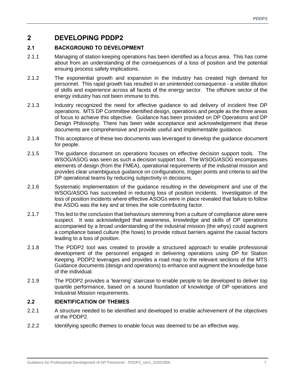### **2 DEVELOPING PDDP2**

#### **2.1 BACKGROUND TO DEVELOPMENT**

- 2.1.1 Managing of station keeping operations has been identified as a focus area. This has come about from an understanding of the consequences of a loss of position and the potential ensuing process safety implications.
- 2.1.2 The exponential growth and expansion in the Industry has created high demand for personnel. This rapid growth has resulted in an unintended consequence - a visible dilution of skills and experience across all facets of the energy sector. The offshore sector of the energy industry has not been immune to this.
- 2.1.3 Industry recognized the need for effective guidance to aid delivery of incident free DP operations. MTS DP Committee identified design, operations and people as the three areas of focus to achieve this objective. Guidance has been provided on DP Operations and DP Design Philosophy. There has been wide acceptance and acknowledgement that these documents are comprehensive and provide useful and implementable guidance.
- 2.1.4 This acceptance of these two documents was leveraged to develop the guidance document for people.
- 2.1.5 The guidance document on operations focuses on effective decision support tools. The WSOG/ASOG was seen as such a decision support tool. The WSOG/ASOG encompasses elements of design (from the FMEA), operational requirements of the industrial mission and provides clear unambiguous guidance on configurations, trigger points and criteria to aid the DP operational teams by reducing subjectivity in decisions.
- 2.1.6 Systematic implementation of the guidance resulting in the development and use of the WSOG/ASOG has succeeded in reducing loss of position incidents. Investigation of the loss of position incidents where effective ASOGs were in place revealed that failure to follow the ASOG was the key and at times the sole contributing factor.
- 2.1.7 This led to the conclusion that behaviours stemming from a culture of compliance alone were suspect. It was acknowledged that awareness, knowledge and skills of DP operations accompanied by a broad understanding of the industrial mission (the whys) could augment a compliance based culture (the hows) to provide robust barriers against the causal factors leading to a loss of position.
- 2.1.8 The PDDP2 tool was created to provide a structured approach to enable professional development of the personnel engaged in delivering operations using DP for Station Keeping. PDDP2 leverages and provides a road map to the relevant sections of the MTS Guidance documents (design and operations) to enhance and augment the knowledge base of the individual.
- 2.1.9 The PDDP2 provides a 'learning' staircase to enable people to be developed to deliver top quartile performance, based on a sound foundation of knowledge of DP operations and Industrial Mission requirements.

#### **2.2 IDENTIFICATION OF THEMES**

- 2.2.1 A structure needed to be identified and developed to enable achievement of the objectives of the PDDP2.
- 2.2.2 Identifying specific themes to enable focus was deemed to be an effective way.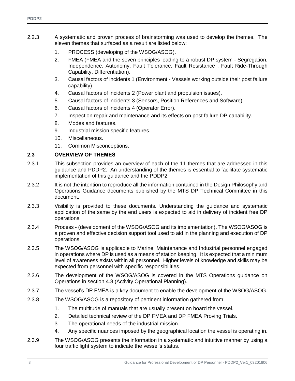- 2.2.3 A systematic and proven process of brainstorming was used to develop the themes. The eleven themes that surfaced as a result are listed below:
	- 1. PROCESS (developing of the WSOG/ASOG).
	- 2. FMEA (FMEA and the seven principles leading to a robust DP system Segregation, Independence, Autonomy, Fault Tolerance, Fault Resistance , Fault Ride-Through Capability, Differentiation).
	- 3. Causal factors of incidents 1 (Environment Vessels working outside their post failure capability).
	- 4. Causal factors of incidents 2 (Power plant and propulsion issues).
	- 5. Causal factors of incidents 3 (Sensors, Position References and Software).
	- 6. Causal factors of incidents 4 (Operator Error).
	- 7. Inspection repair and maintenance and its effects on post failure DP capability.
	- 8. Modes and features.
	- 9. Industrial mission specific features.
	- 10. Miscellaneous.
	- 11. Common Misconceptions.

#### **2.3 OVERVIEW OF THEMES**

- 2.3.1 This subsection provides an overview of each of the 11 themes that are addressed in this guidance and PDDP2. An understanding of the themes is essential to facilitate systematic implementation of this guidance and the PDDP2.
- 2.3.2 It is not the intention to reproduce all the information contained in the Design Philosophy and Operations Guidance documents published by the MTS DP Technical Committee in this document.
- 2.3.3 Visibility is provided to these documents. Understanding the guidance and systematic application of the same by the end users is expected to aid in delivery of incident free DP operations.
- 2.3.4 Process (development of the WSOG/ASOG and its implementation). The WSOG/ASOG is a proven and effective decision support tool used to aid in the planning and execution of DP operations.
- 2.3.5 The WSOG/ASOG is applicable to Marine, Maintenance and Industrial personnel engaged in operations where DP is used as a means of station keeping. It is expected that a minimum level of awareness exists within all personnel. Higher levels of knowledge and skills may be expected from personnel with specific responsibilities.
- 2.3.6 The development of the WSOG/ASOG is covered in the MTS Operations guidance on Operations in section 4.8 (Activity Operational Planning).
- 2.3.7 The vessel's DP FMEA is a key document to enable the development of the WSOG/ASOG.
- 2.3.8 The WSOG/ASOG is a repository of pertinent information gathered from:
	- 1. The multitude of manuals that are usually present on board the vessel.
	- 2. Detailed technical review of the DP FMEA and DP FMEA Proving Trials.
	- 3. The operational needs of the industrial mission.
	- 4. Any specific nuances imposed by the geographical location the vessel is operating in.
- 2.3.9 The WSOG/ASOG presents the information in a systematic and intuitive manner by using a four traffic light system to indicate the vessel's status.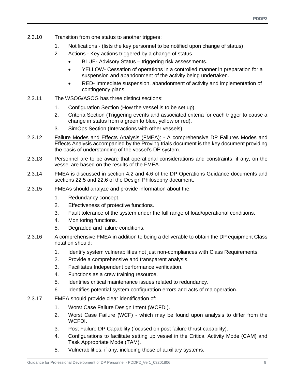- 2.3.10 Transition from one status to another triggers:
	- 1. Notifications (lists the key personnel to be notified upon change of status).
	- 2. Actions Key actions triggered by a change of status.
		- BLUE- Advisory Status triggering risk assessments.
		- YELLOW- Cessation of operations in a controlled manner in preparation for a suspension and abandonment of the activity being undertaken.
		- RED- Immediate suspension, abandonment of activity and implementation of contingency plans.
- 2.3.11 The WSOG/ASOG has three distinct sections:
	- 1. Configuration Section (How the vessel is to be set up).
	- 2. Criteria Section (Triggering events and associated criteria for each trigger to cause a change in status from a green to blue, yellow or red).
	- 3. SimOps Section (Interactions with other vessels).
- 2.3.12 Failure Modes and Effects Analysis (FMEA): A comprehensive DP Failures Modes and Effects Analysis accompanied by the Proving trials document is the key document providing the basis of understanding of the vessel's DP system.
- 2.3.13 Personnel are to be aware that operational considerations and constraints, if any, on the vessel are based on the results of the FMEA.
- 2.3.14 FMEA is discussed in section 4.2 and 4.6 of the DP Operations Guidance documents and sections 22.5 and 22.6 of the Design Philosophy document.
- 2.3.15 FMEAs should analyze and provide information about the:
	- 1. Redundancy concept.
	- 2. Effectiveness of protective functions.
	- 3. Fault tolerance of the system under the full range of load/operational conditions.
	- 4. Monitoring functions.
	- 5. Degraded and failure conditions.
- 2.3.16 A comprehensive FMEA in addition to being a deliverable to obtain the DP equipment Class notation should:
	- 1. Identify system vulnerabilities not just non-compliances with Class Requirements.
	- 2. Provide a comprehensive and transparent analysis.
	- 3. Facilitates Independent performance verification.
	- 4. Functions as a crew training resource.
	- 5. Identifies critical maintenance issues related to redundancy.
	- 6. Identifies potential system configuration errors and acts of maloperation.
- 2.3.17 FMEA should provide clear identification of:
	- 1. Worst Case Failure Design Intent (WCFDI).
	- 2. Worst Case Failure (WCF) which may be found upon analysis to differ from the WCFDI.
	- 3. Post Failure DP Capability (focused on post failure thrust capability).
	- 4. Configurations to facilitate setting up vessel in the Critical Activity Mode (CAM) and Task Appropriate Mode (TAM).
	- 5. Vulnerabilities, if any, including those of auxiliary systems.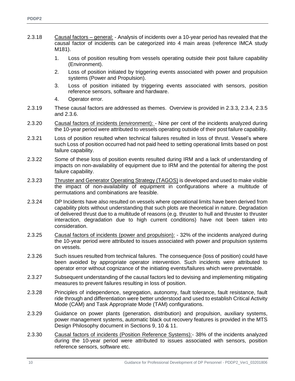- 2.3.18 Causal factors general: Analysis of incidents over a 10-year period has revealed that the causal factor of incidents can be categorized into 4 main areas (reference IMCA study M181).
	- 1. Loss of position resulting from vessels operating outside their post failure capability (Environment).
	- 2. Loss of position initiated by triggering events associated with power and propulsion systems (Power and Propulsion).
	- 3. Loss of position initiated by triggering events associated with sensors, position reference sensors, software and hardware.
	- 4. Operator error.
- 2.3.19 These causal factors are addressed as themes. Overview is provided in 2.3.3, 2.3.4, 2.3.5 and 2.3.6.
- 2.3.20 Causal factors of incidents (environment): Nine per cent of the incidents analyzed during the 10-year period were attributed to vessels operating outside of their post failure capability.
- 2.3.21 Loss of position resulted when technical failures resulted in loss of thrust. Vessel's where such Loss of position occurred had not paid heed to setting operational limits based on post failure capability.
- 2.3.22 Some of these loss of position events resulted during IRM and a lack of understanding of impacts on non-availability of equipment due to IRM and the potential for altering the post failure capability.
- 2.3.23 Thruster and Generator Operating Strategy (TAGOS) is developed and used to make visible the impact of non-availability of equipment in configurations where a multitude of permutations and combinations are feasible.
- 2.3.24 DP Incidents have also resulted on vessels where operational limits have been derived from capability plots without understanding that such plots are theoretical in nature. Degradation of delivered thrust due to a multitude of reasons (e.g. thruster to hull and thruster to thruster interaction, degradation due to high current conditions) have not been taken into consideration.
- 2.3.25 Causal factors of incidents (power and propulsion): 32% of the incidents analyzed during the 10-year period were attributed to issues associated with power and propulsion systems on vessels.
- 2.3.26 Such issues resulted from technical failures. The consequence (loss of position) could have been avoided by appropriate operator intervention. Such incidents were attributed to operator error without cognizance of the initiating events/failures which were preventable.
- 2.3.27 Subsequent understanding of the causal factors led to devising and implementing mitigating measures to prevent failures resulting in loss of position.
- 2.3.28 Principles of independence, segregation, autonomy, fault tolerance, fault resistance, fault ride through and differentiation were better understood and used to establish Critical Activity Mode (CAM) and Task Appropriate Mode (TAM) configurations.
- 2.3.29 Guidance on power plants (generation, distribution) and propulsion, auxiliary systems, power management systems, automatic black out recovery features is provided in the MTS Design Philosophy document in Sections 9, 10 & 11.
- 2.3.30 Causal factors of incidents (Position Reference Systems):- 38% of the incidents analyzed during the 10-year period were attributed to issues associated with sensors, position reference sensors, software etc.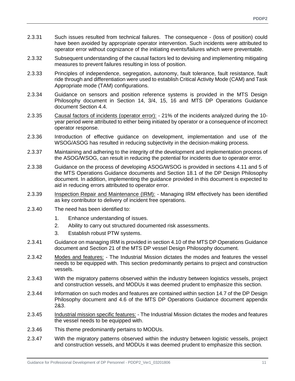- 2.3.31 Such issues resulted from technical failures. The consequence (loss of position) could have been avoided by appropriate operator intervention. Such incidents were attributed to operator error without cognizance of the initiating events/failures which were preventable.
- 2.3.32 Subsequent understanding of the causal factors led to devising and implementing mitigating measures to prevent failures resulting in loss of position.
- 2.3.33 Principles of independence, segregation, autonomy, fault tolerance, fault resistance, fault ride through and differentiation were used to establish Critical Activity Mode (CAM) and Task Appropriate mode (TAM) configurations.
- 2.3.34 Guidance on sensors and position reference systems is provided in the MTS Design Philosophy document in Section 14, 3/4, 15, 16 and MTS DP Operations Guidance document Section 4.4.
- 2.3.35 Causal factors of incidents (operator error): 21% of the incidents analyzed during the 10year period were attributed to either being initiated by operator or a consequence of incorrect operator response.
- 2.3.36 Introduction of effective guidance on development, implementation and use of the WSOG/ASOG has resulted in reducing subjectivity in the decision-making process.
- 2.3.37 Maintaining and adhering to the integrity of the development and implementation process of the ASOG/WSOG, can result in reducing the potential for incidents due to operator error.
- 2.3.38 Guidance on the process of developing ASOG/WSOG is provided in sections 4.11 and 5 of the MTS Operations Guidance documents and Section 18.1 of the DP Design Philosophy document. In addition, implementing the guidance provided in this document is expected to aid in reducing errors attributed to operator error.
- 2.3.39 Inspection Repair and Maintenance (IRM): Managing IRM effectively has been identified as key contributor to delivery of incident free operations.
- 2.3.40 The need has been identified to:
	- 1. Enhance understanding of issues.
	- 2. Ability to carry out structured documented risk assessments.
	- 3. Establish robust PTW systems.
- 2.3.41 Guidance on managing IRM is provided in section 4.10 of the MTS DP Operations Guidance document and Section 21 of the MTS DP vessel Design Philosophy document.
- 2.3.42 Modes and features: The Industrial Mission dictates the modes and features the vessel needs to be equipped with. This section predominantly pertains to project and construction vessels.
- 2.3.43 With the migratory patterns observed within the industry between logistics vessels, project and construction vessels, and MODUs it was deemed prudent to emphasize this section.
- 2.3.44 Information on such modes and features are contained within section 14.7 of the DP Design Philosophy document and 4.6 of the MTS DP Operations Guidance document appendix 2&3.
- 2.3.45 Industrial mission specific features: The Industrial Mission dictates the modes and features the vessel needs to be equipped with.
- 2.3.46 This theme predominantly pertains to MODUs.
- 2.3.47 With the migratory patterns observed within the industry between logistic vessels, project and construction vessels, and MODUs it was deemed prudent to emphasize this section.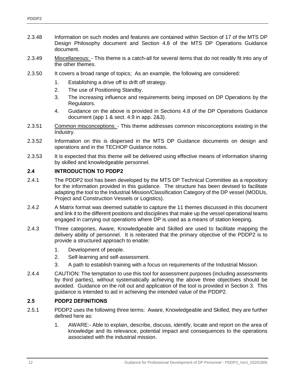- 2.3.48 Information on such modes and features are contained within Section of 17 of the MTS DP Design Philosophy document and Section 4.8 of the MTS DP Operations Guidance document.
- 2.3.49 Miscellaneous: This theme is a catch-all for several items that do not readily fit into any of the other themes.
- 2.3.50 It covers a broad range of topics; As an example, the following are considered:
	- 1. Establishing a drive off to drift off strategy.
	- 2. The use of Positioning Standby.
	- 3. The increasing influence and requirements being imposed on DP Operations by the Regulators.
	- 4. Guidance on the above is provided in Sections 4.8 of the DP Operations Guidance document (app 1 & sect. 4.9 in app. 2&3).
- 2.3.51 Common misconceptions: This theme addresses common misconceptions existing in the Industry.
- 2.3.52 Information on this is dispersed in the MTS DP Guidance documents on design and operations and in the TECHOP Guidance notes.
- 2.3.53 It is expected that this theme will be delivered using effective means of information sharing by skilled and knowledgeable personnel.

#### **2.4 INTRODUCTION TO PDDP2**

- 2.4.1 The PDDP2 tool has been developed by the MTS DP Technical Committee as a repository for the information provided in this guidance. The structure has been devised to facilitate adapting the tool to the Industrial Mission/Classification Category of the DP vessel (MODUs, Project and Construction Vessels or Logistics).
- 2.4.2 A Matrix format was deemed suitable to capture the 11 themes discussed in this document and link it to the different positions and disciplines that make up the vessel operational teams engaged in carrying out operations where DP is used as a means of station keeping.
- 2.4.3 Three categories, Aware, Knowledgeable and Skilled are used to facilitate mapping the delivery ability of personnel. It is reiterated that the primary objective of the PDDP2 is to provide a structured approach to enable:
	- 1. Development of people.
	- 2. Self-learning and self-assessment.
	- 3. A path to establish training with a focus on requirements of the Industrial Mission.
- 2.4.4 CAUTION: The temptation to use this tool for assessment purposes (including assessments by third parties), without systematically achieving the above three objectives should be avoided. Guidance on the roll out and application of the tool is provided in Section 3. This guidance is intended to aid in achieving the intended value of the PDDP2.

#### **2.5 PDDP2 DEFINITIONS**

- 2.5.1 PDDP2 uses the following three terms: Aware, Knowledgeable and Skilled, they are further defined here as:
	- 1. AWARE:- Able to explain, describe, discuss, identify, locate and report on the area of knowledge and its relevance, potential impact and consequences to the operations associated with the industrial mission.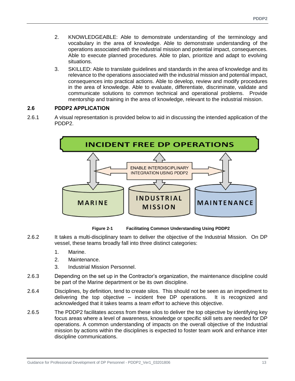- 2. KNOWLEDGEABLE: Able to demonstrate understanding of the terminology and vocabulary in the area of knowledge. Able to demonstrate understanding of the operations associated with the industrial mission and potential impact, consequences. Able to execute planned procedures. Able to plan, prioritize and adapt to evolving situations.
- 3. SKILLED: Able to translate guidelines and standards in the area of knowledge and its relevance to the operations associated with the industrial mission and potential impact, consequences into practical actions. Able to develop, review and modify procedures in the area of knowledge. Able to evaluate, differentiate, discriminate, validate and communicate solutions to common technical and operational problems. Provide mentorship and training in the area of knowledge, relevant to the industrial mission.

#### **2.6 PDDP2 APPLICATION**

2.6.1 A visual representation is provided below to aid in discussing the intended application of the PDDP2.



**Figure 2-1 Facilitating Common Understanding Using PDDP2**

- <span id="page-12-0"></span>2.6.2 It takes a multi-disciplinary team to deliver the objective of the Industrial Mission. On DP vessel, these teams broadly fall into three distinct categories:
	- 1. Marine.
	- 2. Maintenance.
	- 3. Industrial Mission Personnel.
- 2.6.3 Depending on the set up in the Contractor's organization, the maintenance discipline could be part of the Marine department or be its own discipline.
- 2.6.4 Disciplines, by definition, tend to create silos. This should not be seen as an impediment to delivering the top objective – incident free DP operations. It is recognized and acknowledged that it takes teams a *team effort* to achieve this objective.
- 2.6.5 The PDDP2 facilitates access from these silos to deliver the top objective by identifying key focus areas where a level of awareness, knowledge or specific skill sets are needed for DP operations. A common understanding of impacts on the overall objective of the Industrial mission by actions within the disciplines is expected to foster team work and enhance inter discipline communications.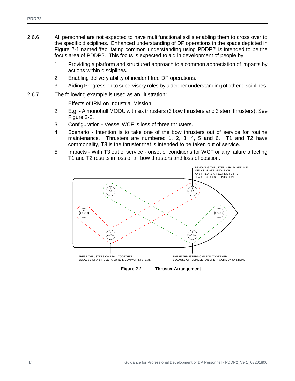- 2.6.6 All personnel are not expected to have multifunctional skills enabling them to cross over to the specific disciplines. Enhanced understanding of DP operations in the space depicted in [Figure 2-1](#page-12-0) named 'facilitating common understanding using PDDP2' is intended to be the focus area of PDDP2. This focus is expected to aid in development of people by:
	- 1. Providing a platform and structured approach to a common appreciation of impacts by actions within disciplines.
	- 2. Enabling delivery ability of incident free DP operations.
	- 3. Aiding Progression to supervisory roles by a deeper understanding of other disciplines.
- 2.6.7 The following example is used as an illustration:
	- 1. Effects of IRM on Industrial Mission.
	- 2. E.g. A monohull MODU with six thrusters (3 bow thrusters and 3 stern thrusters). See [Figure 2-2.](#page-13-0)
	- 3. Configuration Vessel WCF is loss of three thrusters.
	- 4. Scenario Intention is to take one of the bow thrusters out of service for routine maintenance. Thrusters are numbered 1, 2, 3, 4, 5 and 6. T1 and T2 have commonality, T3 is the thruster that is intended to be taken out of service.
	- 5. Impacts With T3 out of service onset of conditions for WCF or any failure affecting T1 and T2 results in loss of all bow thrusters and loss of position.



<span id="page-13-0"></span>**Figure 2-2 Thruster Arrangement**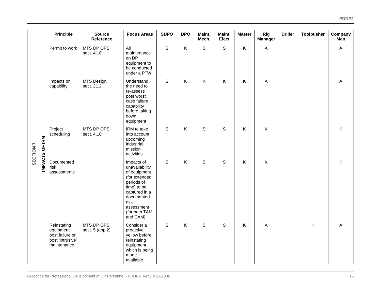|                             | <b>Principle</b>                                                               | <b>Source</b><br>Reference    | <b>Focus Areas</b>                                                                                                                                                           | <b>SDPO</b> | <b>DPO</b> | Maint.<br>Mech. | Maint.<br><b>Elect</b> | <b>Master</b> | Rig<br><b>Manager</b>     | <b>Driller</b> | <b>Toolpusher</b> | Company<br>Man |
|-----------------------------|--------------------------------------------------------------------------------|-------------------------------|------------------------------------------------------------------------------------------------------------------------------------------------------------------------------|-------------|------------|-----------------|------------------------|---------------|---------------------------|----------------|-------------------|----------------|
| IMPACTS OF IRM<br>SECTION 7 | Permit to work                                                                 | MTS DP OPS<br>sect. 4.10      | All<br>maintenance<br>on DP<br>equipment to<br>be conducted<br>under a PTW                                                                                                   | $\mathsf S$ | K          | S               | $\mathbb S$            | K             | $\boldsymbol{\mathsf{A}}$ |                |                   | A              |
|                             | Impacts on<br>capability                                                       | MTS Design<br>sect. 21.2      | Understand<br>the need to<br>re-assess<br>post worst<br>case failure<br>capability<br>before taking<br>down<br>equipment                                                     | $\mathsf S$ | K          | K               | K                      | K             | $\mathsf{A}$              |                |                   | $\mathsf{A}$   |
|                             | Project<br>scheduling                                                          | MTS DP OPS<br>sect. 4.10      | IRM to take<br>into account<br>upcoming<br>industrial<br>mission<br>activities                                                                                               | $\mathsf S$ | K          | S               | $\mathsf S$            | K             | $\sf K$                   |                |                   | Κ              |
|                             | Documented<br>risk<br>assessments                                              |                               | Impacts of<br>unavailability<br>of equipment<br>(for extended<br>periods of<br>time) to be<br>captured in a<br>documented<br>risk<br>assessment<br>(for both TAM<br>and CAM) | $\mathsf S$ | K          | S               | $\mathbf S$            | $\sf K$       | $\sf K$                   |                |                   | Κ              |
|                             | Reinstating<br>equipment<br>post failure or<br>post 'intrusive'<br>maintenance | MTS DP OPS<br>sect. 5 (app.2) | Consider a<br>proactive<br>yellow before<br>reinstating<br>equipment<br>which is being<br>made<br>available                                                                  | S           | K          | S               | $\mathsf{S}$           | $\sf K$       | $\overline{A}$            |                | K                 | A              |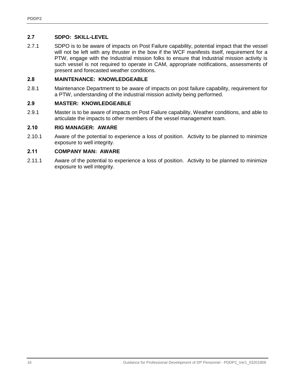#### **2.7 SDPO: SKILL-LEVEL**

2.7.1 SDPO is to be aware of impacts on Post Failure capability, potential impact that the vessel will not be left with any thruster in the bow if the WCF manifests itself, requirement for a PTW, engage with the Industrial mission folks to ensure that Industrial mission activity is such vessel is not required to operate in CAM, appropriate notifications, assessments of present and forecasted weather conditions.

#### **2.8 MAINTENANCE: KNOWLEDGEABLE**

2.8.1 Maintenance Department to be aware of impacts on post failure capability, requirement for a PTW, understanding of the industrial mission activity being performed.

#### **2.9 MASTER: KNOWLEDGEABLE**

2.9.1 Master is to be aware of impacts on Post Failure capability, Weather conditions, and able to articulate the impacts to other members of the vessel management team.

#### **2.10 RIG MANAGER: AWARE**

2.10.1 Aware of the potential to experience a loss of position. Activity to be planned to minimize exposure to well integrity.

#### **2.11 COMPANY MAN: AWARE**

2.11.1 Aware of the potential to experience a loss of position. Activity to be planned to minimize exposure to well integrity.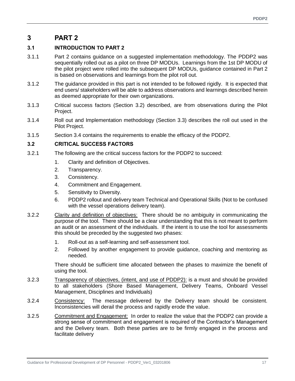## **3 PART 2**

#### **3.1 INTRODUCTION TO PART 2**

- 3.1.1 Part 2 contains guidance on a suggested implementation methodology. The PDDP2 was sequentially rolled out as a pilot on three DP MODUs. Learnings from the 1st DP MODU of the pilot project were rolled into the subsequent DP MODUs, guidance contained in Part 2 is based on observations and learnings from the pilot roll out.
- 3.1.2 The guidance provided in this part is not intended to be followed rigidly. It is expected that end users/ stakeholders will be able to address observations and learnings described herein as deemed appropriate for their own organizations.
- 3.1.3 Critical success factors (Section [3.2\)](#page-16-0) described, are from observations during the Pilot Project.
- 3.1.4 Roll out and Implementation methodology (Section [3.3\)](#page-17-0) describes the roll out used in the Pilot Project.
- 3.1.5 Section [3.4](#page-17-1) contains the requirements to enable the efficacy of the PDDP2.

#### <span id="page-16-0"></span>**3.2 CRITICAL SUCCESS FACTORS**

- 3.2.1 The following are the critical success factors for the PDDP2 to succeed:
	- 1. Clarity and definition of Objectives.
	- 2. Transparency.
	- 3. Consistency.
	- 4. Commitment and Engagement.
	- 5. Sensitivity to Diversity.
	- 6. PDDP2 rollout and delivery team Technical and Operational Skills (Not to be confused with the vessel operations delivery team).
- 3.2.2 Clarity and definition of objectives: There should be no ambiguity in communicating the purpose of the tool. There should be a clear understanding that this is not meant to perform an audit or an assessment of the individuals. If the intent is to use the tool for assessments this should be preceded by the suggested two phases:
	- 1. Roll-out as a self-learning and self-assessment tool.
	- 2. Followed by another engagement to provide guidance, coaching and mentoring as needed.

There should be sufficient time allocated between the phases to maximize the benefit of using the tool.

- 3.2.3 Transparency of objectives, (intent, and use of PDDP2): is a must and should be provided to all stakeholders (Shore Based Management, Delivery Teams, Onboard Vessel Management, Disciplines and Individuals)
- 3.2.4 Consistency: The message delivered by the Delivery team should be consistent. Inconsistencies will derail the process and rapidly erode the value.
- 3.2.5 Commitment and Engagement: In order to realize the value that the PDDP2 can provide a strong sense of commitment and engagement is required of the Contractor's Management and the Delivery team. Both these parties are to be firmly engaged in the process and facilitate delivery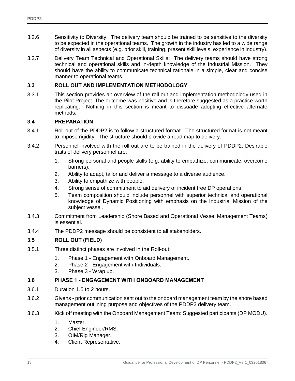- 3.2.6 Sensitivity to Diversity: The delivery team should be trained to be sensitive to the diversity to be expected in the operational teams. The growth in the industry has led to a wide range of diversity in all aspects (e.g. prior skill, training, present skill levels, experience in industry).
- 3.2.7 Delivery Team Technical and Operational Skills: The delivery teams should have strong technical and operational skills and in-depth knowledge of the Industrial Mission. They should have the ability to communicate technical rationale in a simple, clear and concise manner to operational teams.

#### <span id="page-17-0"></span>**3.3 ROLL OUT AND IMPLEMENTATION METHODOLOGY**

3.3.1 This section provides an overview of the roll out and implementation methodology used in the Pilot Project. The outcome was positive and is therefore suggested as a practice worth replicating. Nothing in this section is meant to dissuade adopting effective alternate methods.

#### <span id="page-17-1"></span>**3.4 PREPARATION**

- 3.4.1 Roll out of the PDDP2 is to follow a structured format. The structured format is not meant to impose rigidity. The structure should provide a road map to delivery.
- 3.4.2 Personnel involved with the roll out are to be trained in the delivery of PDDP2. Desirable traits of delivery personnel are:
	- 1. Strong personal and people skills (e.g. ability to empathize, communicate, overcome barriers).
	- 2. Ability to adapt, tailor and deliver a message to a diverse audience.
	- 3. Ability to empathize with people.
	- 4. Strong sense of commitment to aid delivery of incident free DP operations.
	- 5. Team composition should include personnel with superior technical and operational knowledge of Dynamic Positioning with emphasis on the Industrial Mission of the subject vessel.
- 3.4.3 Commitment from Leadership (Shore Based and Operational Vessel Management Teams) is essential.
- 3.4.4 The PDDP2 message should be consistent to all stakeholders.

#### **3.5 ROLL OUT (FIELD)**

- 3.5.1 Three distinct phases are involved in the Roll-out:
	- 1. Phase 1 Engagement with Onboard Management.
	- 2. Phase 2 Engagement with Individuals.
	- 3. Phase 3 Wrap up.

#### **3.6 PHASE 1 - ENGAGEMENT WITH ONBOARD MANAGEMENT**

- 3.6.1 Duration 1.5 to 2 hours.
- 3.6.2 Givens prior communication sent out to the onboard management team by the shore based management outlining purpose and objectives of the PDDP2 delivery team.
- 3.6.3 Kick off meeting with the Onboard Management Team: Suggested participants (DP MODU).
	- 1. Master.
	- 2. Chief Engineer/RMS.
	- 3. OIM/Rig Manager.
	- 4. Client Representative.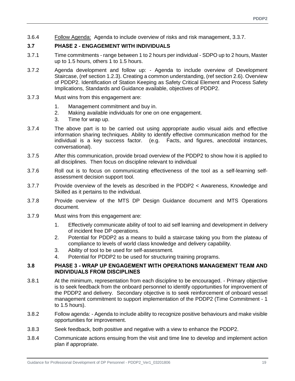3.6.4 Follow Agenda: Agenda to include overview of risks and risk management, 3.3.7.

#### **3.7 PHASE 2 - ENGAGEMENT WITH INDIVIDUALS**

- 3.7.1 Time commitments range between 1 to 2 hours per individual SDPO up to 2 hours, Master up to 1.5 hours, others 1 to 1.5 hours.
- 3.7.2 Agenda development and follow up: Agenda to include overview of Development Staircase, (ref section 1.2.3). Creating a common understanding, (ref section 2.6). Overview of PDDP2. Identification of Station Keeping as Safety Critical Element and Process Safety Implications, Standards and Guidance available, objectives of PDDP2.
- 3.7.3 Must wins from this engagement are:
	- 1. Management commitment and buy in.
	- 2. Making available individuals for one on one engagement.
	- 3. Time for wrap up.
- 3.7.4 The above part is to be carried out using appropriate audio visual aids and effective information sharing techniques. Ability to identify effective communication method for the individual is a key success factor. (e.g. Facts, and figures, anecdotal instances, conversational).
- 3.7.5 After this communication, provide broad overview of the PDDP2 to show how it is applied to all disciplines. Then focus on discipline relevant to individual
- 3.7.6 Roll out is to focus on communicating effectiveness of the tool as a self-learning selfassessment decision support tool.
- 3.7.7 Provide overview of the levels as described in the PDDP2 < Awareness, Knowledge and Skilled as it pertains to the individual.
- 3.7.8 Provide overview of the MTS DP Design Guidance document and MTS Operations document.
- 3.7.9 Must wins from this engagement are:
	- 1. Effectively communicate ability of tool to aid self learning and development in delivery of incident free DP operations.
	- 2. Potential for PDDP2 as a means to build a staircase taking you from the plateau of compliance to levels of world class knowledge and delivery capability.
	- 3. Ability of tool to be used for self-assessment.
	- 4. Potential for PDDP2 to be used for structuring training programs.

#### **3.8 PHASE 3 - WRAP UP ENGAGEMENT WITH OPERATIONS MANAGEMENT TEAM AND INDIVIDUALS FROM DISCIPLINES**

- 3.8.1 At the minimum, representation from each discipline to be encouraged. Primary objective is to seek feedback from the onboard personnel to identify opportunities for improvement of the PDDP2 and delivery. Secondary objective is to seek reinforcement of onboard vessel management commitment to support implementation of the PDDP2 (Time Commitment - 1 to 1.5 hours).
- 3.8.2 Follow agenda: Agenda to include ability to recognize positive behaviours and make visible opportunities for improvement.
- 3.8.3 Seek feedback, both positive and negative with a view to enhance the PDDP2.
- 3.8.4 Communicate actions ensuing from the visit and time line to develop and implement action plan if appropriate.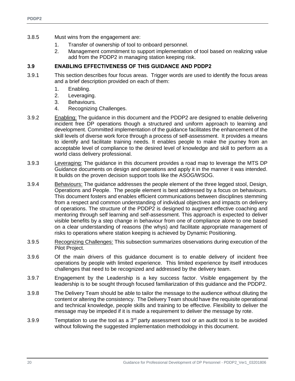- 3.8.5 Must wins from the engagement are:
	- 1. Transfer of ownership of tool to onboard personnel.
	- 2. Management commitment to support implementation of tool based on realizing value add from the PDDP2 in managing station keeping risk.

#### **3.9 ENABLING EFFECTIVENESS OF THIS GUIDANCE AND PDDP2**

- 3.9.1 This section describes four focus areas. Trigger words are used to identify the focus areas and a brief description provided on each of them:
	- 1. Enabling.
	- 2. Leveraging.
	- 3. Behaviours.
	- 4. Recognizing Challenges.
- 3.9.2 Enabling: The guidance in this document and the PDDP2 are designed to enable delivering incident free DP operations though a structured and uniform approach to learning and development. Committed implementation of the guidance facilitates the enhancement of the skill levels of diverse work force through a process of self-assessment. It provides a means to identify and facilitate training needs. It enables people to make the journey from an acceptable level of compliance to the desired level of knowledge and skill to perform as a world class delivery professional.
- 3.9.3 Leveraging: The guidance in this document provides a road map to leverage the MTS DP Guidance documents on design and operations and apply it in the manner it was intended. It builds on the proven decision support tools like the ASOG/WSOG.
- 3.9.4 Behaviours: The guidance addresses the people element of the three legged stool, Design, Operations and People. The people element is best addressed by a focus on behaviours. This document fosters and enables efficient communications between disciplines stemming from a respect and common understanding of individual objectives and impacts on delivery of operations. The structure of the PDDP2 is designed to augment effective coaching and mentoring through self learning and self-assessment. This approach is expected to deliver visible benefits by a step change in behaviour from one of compliance alone to one based on a clear understanding of reasons (the whys) and facilitate appropriate management of risks to operations where station keeping is achieved by Dynamic Positioning.
- 3.9.5 Recognizing Challenges: This subsection summarizes observations during execution of the Pilot Project.
- 3.9.6 Of the main drivers of this guidance document is to enable delivery of incident free operations by people with limited experience. This limited experience by itself introduces challenges that need to be recognized and addressed by the delivery team.
- 3.9.7 Engagement by the Leadership is a key success factor. Visible engagement by the leadership is to be sought through focused familiarization of this guidance and the PDDP2.
- 3.9.8 The Delivery Team should be able to tailor the message to the audience without diluting the content or altering the consistency. The Delivery Team should have the requisite operational and technical knowledge, people skills and training to be effective. Flexibility to deliver the message may be impeded if it is made a requirement to deliver the message by rote.
- 3.9.9 Temptation to use the tool as a  $3<sup>rd</sup>$  party assessment tool or an audit tool is to be avoided without following the suggested implementation methodology in this document.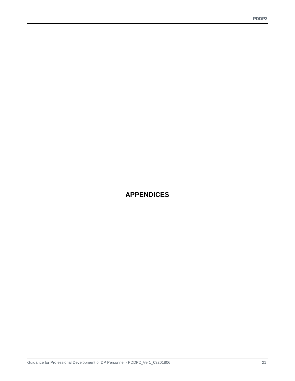## **APPENDICES**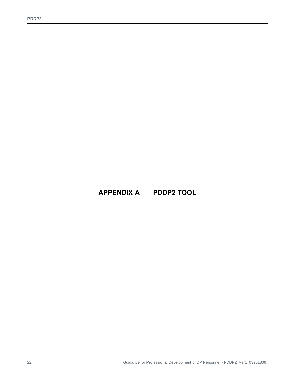**APPENDIX A PDDP2 TOOL**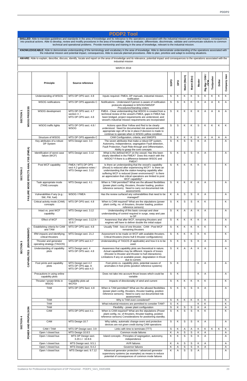| <b>PDDP2 Tool</b>                                                                                                                                                                                                                                                                                                                                                                                                                                                                                                                                                                                                                                                                                                  |                                                                                                                                                                                                                                                                                                                                                         |                                                              |                                                                         |                                                                                                                                                                                                                                                                                                                           |                            |                |              |                |               |                        |            |         |              |
|--------------------------------------------------------------------------------------------------------------------------------------------------------------------------------------------------------------------------------------------------------------------------------------------------------------------------------------------------------------------------------------------------------------------------------------------------------------------------------------------------------------------------------------------------------------------------------------------------------------------------------------------------------------------------------------------------------------------|---------------------------------------------------------------------------------------------------------------------------------------------------------------------------------------------------------------------------------------------------------------------------------------------------------------------------------------------------------|--------------------------------------------------------------|-------------------------------------------------------------------------|---------------------------------------------------------------------------------------------------------------------------------------------------------------------------------------------------------------------------------------------------------------------------------------------------------------------------|----------------------------|----------------|--------------|----------------|---------------|------------------------|------------|---------|--------------|
| SKILLED: Able to translate guidelines and standards in the area of knowledge and its relevance to the operations associated with the industrial mission and potential impact, consequences<br>into practical actions. Able to develop, review and modify procedures in the area of knowledge. Able to evaluate, differentiate, discriminate, validate and communicate solutions to common<br>technical and operational problems. Provide mentorship and training in the area of knowledge, relevant to the industrial mission.<br>KNOWLEDGEABLE: Able to demonstrate understanding of the terminology and vocabulary in the area of knowledge. Able to demonstrate understanding of the operations associated with |                                                                                                                                                                                                                                                                                                                                                         |                                                              |                                                                         |                                                                                                                                                                                                                                                                                                                           |                            |                |              |                |               |                        |            |         |              |
|                                                                                                                                                                                                                                                                                                                                                                                                                                                                                                                                                                                                                                                                                                                    | the industrial mission and potential impact, consequences. Able to execute planned procedures. Able to plan, prioritize and adapt to evolving situations.<br>AWARE: Able to explain, describe, discuss, identify, locate and report on the area of knowledge and its relevance, potential impact and consequences to the operations associated with the |                                                              |                                                                         |                                                                                                                                                                                                                                                                                                                           |                            |                |              |                |               |                        |            |         |              |
|                                                                                                                                                                                                                                                                                                                                                                                                                                                                                                                                                                                                                                                                                                                    |                                                                                                                                                                                                                                                                                                                                                         |                                                              |                                                                         | industrial mission                                                                                                                                                                                                                                                                                                        |                            |                |              |                |               |                        |            |         |              |
|                                                                                                                                                                                                                                                                                                                                                                                                                                                                                                                                                                                                                                                                                                                    |                                                                                                                                                                                                                                                                                                                                                         |                                                              |                                                                         | <b>MARCH 2018</b>                                                                                                                                                                                                                                                                                                         |                            |                |              |                |               |                        |            |         |              |
|                                                                                                                                                                                                                                                                                                                                                                                                                                                                                                                                                                                                                                                                                                                    |                                                                                                                                                                                                                                                                                                                                                         | <b>Principle</b>                                             | Source reference                                                        |                                                                                                                                                                                                                                                                                                                           | SDPO                       | DPO            | Maint (Mech) | Maint (Elec)   | <b>Master</b> | Rig Mgr / OIM /<br>ACM | Toolpusher | Driller | Company man  |
|                                                                                                                                                                                                                                                                                                                                                                                                                                                                                                                                                                                                                                                                                                                    |                                                                                                                                                                                                                                                                                                                                                         | Understanding of WSOG                                        | MTS DP OPS sect. 4.8                                                    | Inputs required- FMEA, DP manuals, industrial mission,<br>notification                                                                                                                                                                                                                                                    | S                          | Κ              | Κ            | K              | S             | Κ                      | Κ          | K       | K            |
|                                                                                                                                                                                                                                                                                                                                                                                                                                                                                                                                                                                                                                                                                                                    |                                                                                                                                                                                                                                                                                                                                                         | <b>WSOG</b> notifications                                    | MTS DP OPS appendix C                                                   | Notifications - Understand if person is aware of notification<br>protocols stipulated in WSOG/SMS/DP<br>Procedures/Standing orders                                                                                                                                                                                        | $\mathbf S$                | S              | Κ            | K              | Κ             | A                      | A          | Κ       | A            |
| SECTION <sub>1</sub>                                                                                                                                                                                                                                                                                                                                                                                                                                                                                                                                                                                                                                                                                               | WSOG PROCESS                                                                                                                                                                                                                                                                                                                                            | WSOG development                                             | MTS DP OPS sect. 4.7<br>section 3 /<br>MTS DP OPS sect. 4.8             | FMEA - Clear understanding that WSOG is created from a<br>technical review of the vessel's FMEA, gaps in FMEA has<br>been bridged, project requirements are understood, and<br>vessel's industrial mission requirements are incorporated                                                                                  | S                          | Κ              | Κ            | K              | Κ             | Α                      | Α          | Α       | A            |
|                                                                                                                                                                                                                                                                                                                                                                                                                                                                                                                                                                                                                                                                                                                    |                                                                                                                                                                                                                                                                                                                                                         | WSOG traffic lights                                          | MTS DP OPS sect. 4.8 /<br>WSOG                                          | Actions upon Blue Yellow and Red to be clearly<br>understood. Need for documented risk assessment with<br>appropriate sign off to be in place if decision is made to<br>continue to operate when in WSOG yellow condition                                                                                                 | $\mathbf S$                | S              | K            | K              | S             | K                      | K          | K       | K            |
|                                                                                                                                                                                                                                                                                                                                                                                                                                                                                                                                                                                                                                                                                                                    |                                                                                                                                                                                                                                                                                                                                                         | Structure of WSOG<br>Key attributes of a robust<br>DP System | MTS DP OPS appendix C<br>MTS Design sect. 3.3                           | CAM Configuration, criteria, and SIMOPS<br>The seven attributes that make a robust DP system,<br>Autonomy, Independence, segregation Fault detection,<br>Fault Protection, Fault Ride-through and Differentiation,<br>Ability to grasp the core concepts                                                                  | S<br>$\mathsf{S}$          | Κ<br>K         | Κ<br>S       | Κ<br>S         | Κ<br>K        | Α<br>A                 | Α          | Α       | A<br>A       |
|                                                                                                                                                                                                                                                                                                                                                                                                                                                                                                                                                                                                                                                                                                                    | ANALYSIS (FMEA)                                                                                                                                                                                                                                                                                                                                         | Identification of worst case<br>failure (WCF)                | MTS Design sect. 3.12                                                   | What is the defined WCF on the vessel; Has this been<br>clearly identified in the FMEA? Does this match with the<br>WSOG? If there is a difference between WSOG and<br>FMEA?                                                                                                                                              | S                          | K              | S            | S              | Κ             | A                      |            |         | Α            |
| N<br>z<br><b>SECTIO</b>                                                                                                                                                                                                                                                                                                                                                                                                                                                                                                                                                                                                                                                                                            | w                                                                                                                                                                                                                                                                                                                                                       | Post WCF capability                                          | FMEA / MTS DP OPS<br>sect 4.2 guidance notes /<br>MTS Design sect. 3.12 | Is there an understanding that the vessel's capability<br>(thrust) is reduced after experiencing WCF? Is there an<br>understanding that the station keeping capability after<br>suffering WCF is reduced (lower environment)? Is there<br>an appreciation that critical operations are limited to post<br>WCF capability? | S                          | Κ              | Κ            | K              | Κ             | Κ                      |            |         | Κ            |
|                                                                                                                                                                                                                                                                                                                                                                                                                                                                                                                                                                                                                                                                                                                    | <b>FAILURE MODE EFFECT</b>                                                                                                                                                                                                                                                                                                                              | Task appropriate mode<br>(TAM) concepts                      | MTS Design sect. 4.1                                                    | When is TAM permitted? What are the allowed flexibilities<br>(power plant config, thrusters, thruster loading, position<br>reference sensors). Need to carry out documented risk<br>assessments                                                                                                                           | $\mathbf S$                | Κ              | Κ            | K              | Κ             | A                      |            |         | A            |
|                                                                                                                                                                                                                                                                                                                                                                                                                                                                                                                                                                                                                                                                                                                    |                                                                                                                                                                                                                                                                                                                                                         | Vulnerabilities if any (e.g.:<br>SW, FW, fuel)               | WSOG / FMEA                                                             | Has the review surfaced any vulnerabilities that need to be<br>managed?                                                                                                                                                                                                                                                   | Κ                          | $\overline{A}$ | S            | S              | K             | A                      |            |         | Α            |
|                                                                                                                                                                                                                                                                                                                                                                                                                                                                                                                                                                                                                                                                                                                    |                                                                                                                                                                                                                                                                                                                                                         | Critical activity mode (CAM)<br>concepts                     | MTS DP OPS sect. 4.8                                                    | When is CAM required? What are the stipulations (power<br>plant config, no. of thrusters, thruster loading, position<br>reference sensors)                                                                                                                                                                                | S                          | Κ              | S            | S              | Κ             | Κ                      |            |         | Κ            |
|                                                                                                                                                                                                                                                                                                                                                                                                                                                                                                                                                                                                                                                                                                                    |                                                                                                                                                                                                                                                                                                                                                         | Intact vs. post WCF<br>capability                            | MTS Design sect. 3.12                                                   | Understanding of this basic concept and clear<br>understanding of control required in surge, sway and yaw<br>to DP                                                                                                                                                                                                        | $\mathbf S$                | K              | A            | A              | Κ             | A                      |            |         | Α            |
|                                                                                                                                                                                                                                                                                                                                                                                                                                                                                                                                                                                                                                                                                                                    |                                                                                                                                                                                                                                                                                                                                                         | Effect of WCF                                                | MTS Design sect. 3.12.9 /<br>10.8.7                                     | Awareness that after WCF, remaining thrusters and<br>engines will have to deliver double the initial output                                                                                                                                                                                                               | $\mathsf S$                | Κ              | Κ            | K              | Κ             | Α                      |            |         | Α            |
|                                                                                                                                                                                                                                                                                                                                                                                                                                                                                                                                                                                                                                                                                                                    |                                                                                                                                                                                                                                                                                                                                                         | Establishing criteria for CAM<br>and TAM                     | MTS DP OPS sect. 4.8                                                    | Usually TAM - loss of one thruster, CAM - Post WCF<br>remaining thrusters                                                                                                                                                                                                                                                 | S                          | Κ              | Κ            | Κ              | Κ             | Κ                      |            |         | Κ            |
|                                                                                                                                                                                                                                                                                                                                                                                                                                                                                                                                                                                                                                                                                                                    |                                                                                                                                                                                                                                                                                                                                                         | IRM impacts and identifying<br>critical thrusters            | MTS Design sect. 21.2                                                   | Assessment to be made on WCF with available thrusters.<br>Critical thrusters (mono hull 6 thruster configurations)                                                                                                                                                                                                        | S                          | Κ              | Κ            | Κ              | Κ             | Κ                      |            |         | K            |
|                                                                                                                                                                                                                                                                                                                                                                                                                                                                                                                                                                                                                                                                                                                    | (ENVIRONMENT)                                                                                                                                                                                                                                                                                                                                           | Thruster and generator<br>operating strategy (TAGOS)         | MTS DP OPS sect 4.7                                                     | Understanding of TAGOS (if applicable) and how it is to be<br>used.                                                                                                                                                                                                                                                       | S                          | Κ              | S            | S              | Κ             | Α                      |            |         | Α            |
| SECTION <sub>3</sub>                                                                                                                                                                                                                                                                                                                                                                                                                                                                                                                                                                                                                                                                                               | CAPABILITIES                                                                                                                                                                                                                                                                                                                                            | Understanding of capability<br>plots                         | MTS Design sect. 4<br>MTS DP OPS sect. 4.8                              | Awareness that capability plots are theoretical in nature.<br>Actual capabilities may be different. Impacts of losses<br>(thruster to thruster and thruster to hull interactions).<br>Limitations if any on available power, degradation in thrust<br>due to current.                                                     | S                          | Κ              | A            | $\overline{A}$ | Κ             | A                      |            |         | Α            |
|                                                                                                                                                                                                                                                                                                                                                                                                                                                                                                                                                                                                                                                                                                                    |                                                                                                                                                                                                                                                                                                                                                         | Foot prints and capability<br>plots                          | MTS Design sect 4.2<br>MTS DP OPS app. A<br>MTS DP OPS sect 4.3         | Foot prints vs. capability plots, potential causes of<br>anomalies in foot prints (position reference systems)                                                                                                                                                                                                            | $\mathbf S$                | Κ              |              |                | Κ             | A                      |            |         | Α            |
|                                                                                                                                                                                                                                                                                                                                                                                                                                                                                                                                                                                                                                                                                                                    |                                                                                                                                                                                                                                                                                                                                                         | Precautions in using online<br>capability plots              |                                                                         | Does not take into account thrust losses which could be<br>variable                                                                                                                                                                                                                                                       | S                          | K              |              |                | K             | A                      |            |         | A            |
|                                                                                                                                                                                                                                                                                                                                                                                                                                                                                                                                                                                                                                                                                                                    |                                                                                                                                                                                                                                                                                                                                                         | Thruster / power limits in<br><b>WSOG</b>                    | Capability plots ad<br><b>WCFDI</b>                                     | Impacts of directionality of wind and current                                                                                                                                                                                                                                                                             | S                          | Κ              | Κ            | Κ              | Κ             | Κ                      |            |         | Κ            |
|                                                                                                                                                                                                                                                                                                                                                                                                                                                                                                                                                                                                                                                                                                                    |                                                                                                                                                                                                                                                                                                                                                         | <b>TAM</b>                                                   | MTS DP OPS Sect. 4.8                                                    | When is TAM permitted? What are the allowed flexibilities<br>(power plant config, thrusters, thruster loading, position<br>reference sensors). Need to carry out documented risk<br>assessments                                                                                                                           | S                          | Κ              | S            | S              | Κ             | Α                      |            |         | Α            |
|                                                                                                                                                                                                                                                                                                                                                                                                                                                                                                                                                                                                                                                                                                                    |                                                                                                                                                                                                                                                                                                                                                         | <b>TAM</b><br><b>TAM</b>                                     |                                                                         | Why is TAM even considered?<br>What industrial missions are permitted to consider TAM?                                                                                                                                                                                                                                    | $\mathsf S$<br>$\mathbf S$ | K<br>K         | Κ            | Κ              | K<br>K        | Κ<br>Κ                 |            |         | Κ<br>Κ       |
|                                                                                                                                                                                                                                                                                                                                                                                                                                                                                                                                                                                                                                                                                                                    |                                                                                                                                                                                                                                                                                                                                                         | <b>TAM</b>                                                   |                                                                         | Flexibility - power plant configuration                                                                                                                                                                                                                                                                                   | $\mathsf S$                | Κ              | S            | S              | Κ             | Α                      |            |         | A            |
| 4                                                                                                                                                                                                                                                                                                                                                                                                                                                                                                                                                                                                                                                                                                                  | POWER AND PROPULSION                                                                                                                                                                                                                                                                                                                                    | CAM                                                          | MTS DP OPS sect 4.1                                                     | When is CAM required? What are the stipulations (Power<br>plant config, no. of thrusters, thruster loading, position<br>reference sensors) Considerations for positioning standby.                                                                                                                                        | $\mathsf S$                | K              | S            | S.             | K             | K                      |            |         | K            |
| <b>SECTION</b>                                                                                                                                                                                                                                                                                                                                                                                                                                                                                                                                                                                                                                                                                                     |                                                                                                                                                                                                                                                                                                                                                         | CAM                                                          | MTS Design 10.7                                                         | Why safety, automatic change-overs and protective<br>devices are not given credit during CAM operations                                                                                                                                                                                                                   | S                          | Κ              | S            | S              | Κ             | Α                      |            |         | $\mathsf{A}$ |
|                                                                                                                                                                                                                                                                                                                                                                                                                                                                                                                                                                                                                                                                                                                    |                                                                                                                                                                                                                                                                                                                                                         | CAM / TAM<br>Open / closed bus                               | MTS DP Design sect. 3.9<br>MTS Design 10.8.5                            | Links with time to terminate (TTT)<br>Common mode failures                                                                                                                                                                                                                                                                | S<br>Κ                     | K<br>A         | A<br>S       | A<br>S         | Κ<br>Κ        | Κ<br>Α                 | Κ          | Κ       | K<br>Α       |
|                                                                                                                                                                                                                                                                                                                                                                                                                                                                                                                                                                                                                                                                                                                    |                                                                                                                                                                                                                                                                                                                                                         | Open / closed bus                                            | MTS DP Design sect.<br>3.20.1 / 10.8.6                                  | Island concepts - Principles of segregation, autonomy,<br>independence                                                                                                                                                                                                                                                    | Κ                          | K              | S            | S              | Κ             | A                      |            |         | Α            |
|                                                                                                                                                                                                                                                                                                                                                                                                                                                                                                                                                                                                                                                                                                                    |                                                                                                                                                                                                                                                                                                                                                         | Open / closed bus<br>Open / closed bus                       | MTS Design sect. 9.5.1<br>MTS Design sect. 9.4.2                        | <b>AVR</b> failures<br>Governor failures                                                                                                                                                                                                                                                                                  | Κ<br>Κ                     | A<br>A         | S<br>S       | S<br>S         | Κ<br>Κ        | Α<br>Α                 |            |         | A<br>A       |
|                                                                                                                                                                                                                                                                                                                                                                                                                                                                                                                                                                                                                                                                                                                    |                                                                                                                                                                                                                                                                                                                                                         | Open / closed bus                                            | MTS Design sect. 9.7.12                                                 | Advanced generator protection / advanced generator<br>supervisory systems (as examples) as means to reduce<br>potential of consequences of common mode failures                                                                                                                                                           | Κ                          | A              | S            | S              | Α             |                        |            |         | A            |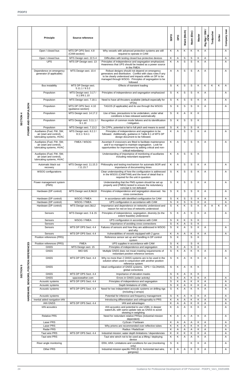|         |                              | <b>Principle</b>                                                                                  | Source reference                                                     |                                                                                                                                                                                                                                               | SDPO             | DPO          | Maint (Mech)               | Maint (Elec)            | <b>Master</b>           | Rig Mgr / OIM /<br>CCM | Toolpusher | Driller | Company man  |
|---------|------------------------------|---------------------------------------------------------------------------------------------------|----------------------------------------------------------------------|-----------------------------------------------------------------------------------------------------------------------------------------------------------------------------------------------------------------------------------------------|------------------|--------------|----------------------------|-------------------------|-------------------------|------------------------|------------|---------|--------------|
|         |                              | Open / closed bus                                                                                 | MTS DP OPS Sect. 4.8<br>(CAM-section)                                | Why vessels with advanced protection systems are still<br>required to operate in CAM                                                                                                                                                          | K                | A            | Κ                          | Κ                       | Κ                       | A                      |            |         | A            |
|         |                              | Open / closed bus<br><b>UPS</b>                                                                   | MTS Design sect. 22.5.4<br>MTS DP Design sect. 13                    | Difficulties with testing closed bus protective devices<br>Principles of independence and segregation emphasized.<br>Awareness that UPS should be treated as a power source<br>in the FMEA.                                                   | Κ<br>K           | Α<br>A       | S<br>S                     | S<br>S                  | Κ<br>Κ                  | Α<br>Α                 |            |         | Α<br>Α       |
|         |                              | Dependence on emergency<br>generator (if applicable)                                              | MTS Design sect. 10.4                                                | Robust designs should not depend on emergency<br>generators and distribution. Conflict with class rules if any<br>to be clearly understood and impacts while on DP to be<br>managed through WSOG. Principles of segregation to be<br>followed | A                | A            | S                          | $\mathbf S$             | A                       | A                      |            |         | A            |
|         |                              | <b>Bus instability</b>                                                                            | MTS DP Design sect.<br>5.11.1 / 9.3.2                                | Effects of transient loading                                                                                                                                                                                                                  | S                | K            | $\mathsf S$                | S                       | K                       | Κ                      | K          | K       | $\mathsf{A}$ |
|         |                              | Propulsion                                                                                        | MTS Design sect. 3.17 /<br>9.1.9/9.1.10                              | Principles of independence and segregation emphasized                                                                                                                                                                                         | S                | Κ            | S                          | S                       | Κ                       | Α                      |            |         | Α            |
|         |                              | Propulsion                                                                                        | MTS Design sect. 7.18.1                                              | Need to have all thrusters available (default especially for<br>VFD <sub>s</sub> )                                                                                                                                                            | S                | K            | S                          | S                       | Κ                       | Α                      |            |         | Α            |
|         |                              | Propulsion                                                                                        | MTS DP OPS Sect. 4.10<br>(guidance-section)                          | TAGOS (if applicable) and its use through the WSOG                                                                                                                                                                                            | S                | Κ            | S                          | S                       | Κ                       | A                      |            |         | A            |
|         |                              | Propulsion                                                                                        | MTS Design sect. 14.17.2                                             | Use of bias, precautions to be undertaken, under what<br>conditions is bias released automatically                                                                                                                                            | S                | Κ            | Α                          | K                       | Κ                       |                        |            |         |              |
| SECTION |                              | Propulsion                                                                                        | MTS Design sect. 3.11.1 /<br>9.1.10                                  | Recognition of common mode failures and its identification<br>/ mitigation.                                                                                                                                                                   | S                | K            | S                          | S                       | Κ                       |                        |            |         |              |
|         | POWER AND PROPULSION         | Propulsion<br>Auxiliaries (Fuel, FW, SW,<br>air (start and control),<br>lubricating systems, HVAC | MTS Design sect. 7.13.2<br>MTS Design sect. 8.2.2 /<br>8.3.1 / 8.4.1 | On CPPs, potential to fail to full pitch and means to avoid<br>Principles of independence and segregation to be<br>followed. Additionally, guidance in Table 8.1 of MTS DP<br>design document to be followed.                                 | S<br>K           | Κ<br>A       | S<br>S                     | S<br>S                  | Κ<br>K                  | Α                      |            |         | Α            |
|         |                              | Auxiliaries (Fuel, FW, SW,<br>air (start and control),<br>lubricating systems, HVAC               | FMEA / WSOG                                                          | Ascertain if crossovers are fitted to facilitate maintenance<br>and if so managed to maintain segregation. Look for<br>opportunities for improvement by adding critical and non-<br>critical redundancy                                       | Κ                | Α            | $\mathsf S$                | $\mathbf S$             | K                       | Α                      |            |         | A            |
|         |                              | Auxiliaries (Fuel, FW, SW,<br>air (start and control),<br>lubricating systems, HVAC               |                                                                      | Understanding of importance of monitoring of auxiliaries<br>including redundant equipment                                                                                                                                                     | K                | A            | S                          | S                       | K                       |                        |            |         |              |
|         |                              | Automatic black out<br>recovery                                                                   | MTS Design sect. 11.15.3<br>/11.15.7                                 | Philosophy and testing mechanism for automatic BOR and<br>importance of documenting times                                                                                                                                                     | Κ                | Α            | S                          | $\mathsf S$             | Κ                       | Α                      |            |         | A            |
|         |                              | <b>WSOG</b> configurations                                                                        |                                                                      | Clear understanding of how the configuration is addressed<br>in the WSOG (CAM/TAM) and the level of detail that is<br>required for the unit in question                                                                                       | S                | Κ            | S                          | S                       | K                       | A                      |            |         | Α            |
|         |                              | Power management system<br>(PMS)                                                                  |                                                                      | Understanding that the PMS system should be set up<br>properly and (FMEA) tested to ensure the redundancy<br>concept is not defeated                                                                                                          | S                | K            | S                          | S                       | K                       | Α                      |            |         | Α            |
|         |                              | Hardware (DP control)                                                                             | MTS Design sect.8,9&10                                               | Principles of independence and segregation observed. No<br>cross connections                                                                                                                                                                  | S                | K            | S                          | $\mathbf S$             | K                       | Α                      |            |         | Α            |
|         |                              | Hardware (DP control)<br>Hardware (DP control)                                                    | WSOG / FMEA<br>WSOG / FMEA                                           | In accordance with identified configuration for CAM<br>UPS configuration in accordance with CAM                                                                                                                                               | S<br>S           | Κ<br>Κ       | $\mathsf S$<br>$\mathsf S$ | S<br>$\mathbf S$        | K<br>K                  | Α<br>Α                 |            |         | Α<br>Α       |
|         |                              | Hardware (DP control)                                                                             | MTS Design sect.3&12                                                 | Importance and dependence on networks understood and<br>reason for red on loss of networks understood                                                                                                                                         | S                | Κ            | Κ                          | $\mathsf S$             | Κ                       | A                      | A          | Κ       | Α            |
|         |                              | Sensors                                                                                           | MTS Design sect. 3 & 15                                              | Principles of independence, segregation, diversity (to the<br>extent feasible) understood                                                                                                                                                     | S                | K            | Α                          | S                       | Κ                       | Α                      |            |         | Α            |
|         |                              | Sensors<br>Sensors                                                                                | WSOG / FMEA                                                          | UPS configuration in accordance with CAM<br>Importance of avoiding cross connections                                                                                                                                                          | S<br>S           | Κ<br>Κ       | Κ<br>Α                     | S<br>S                  | Κ<br>Κ                  |                        |            |         |              |
|         |                              | Sensors                                                                                           | MTS DP OPS Sect. 4.4                                                 | Failures of sensors and how they are addressed in WSOG<br>and why                                                                                                                                                                             | S                | Κ            | A                          | $\mathbf S$             | K                       | Α                      |            |         | Α            |
|         |                              | Sensors<br>Position references (PRS)                                                              | MTS DP OPS Sect. 4.4                                                 | Vulnerabilities of vessels equipped with 2 gyros<br>Reference sensor set up and handling in DP control                                                                                                                                        | Κ<br>S           | Α<br>K       | Α                          | K<br>S                  | K<br>K                  | Α                      |            |         | Α            |
|         |                              | Position references (PRS)                                                                         | <b>FMEA</b>                                                          | system<br>UPS supplies in accordance with CAM                                                                                                                                                                                                 | $\mathsf S$      | Κ            |                            | $\mathsf S$             | Κ                       |                        |            |         |              |
|         |                              | <b>GNSS</b><br><b>GNSS</b>                                                                        | MTS Design sect. 15<br><b>IMO 645</b>                                | Principles of independence and segregation<br>Multiple GNSS does not mean meeting requirements of                                                                                                                                             | $\mathsf S$<br>S | Κ<br>K       | Α<br>A                     | $\mathbf S$<br>K        | K<br>Κ                  | A                      |            |         | Α            |
|         |                              | <b>GNSS</b>                                                                                       | MTS DP OPS Sect. 4.4                                                 | redundant position reference sensors<br>Why no more than 2 GNSS systems are to be used in the                                                                                                                                                 | S                | Κ            | Α                          | Κ                       | Κ                       | Α                      |            |         | A            |
| ۱Ω      | SENSORS, POSITION REFERENCES | <b>GNSS</b>                                                                                       |                                                                      | solution when used in conjunction with another position<br>reference system<br>Ideal configuration of GNSS systems. GPS + GLONASS;                                                                                                            | S                | Κ            | Α                          | K                       | Κ                       |                        |            |         |              |
| SECTION |                              | <b>GNSS</b>                                                                                       | MTS DP OPS Sect. 4.4                                                 | global corrections<br>Importance of elevation masks                                                                                                                                                                                           | S                | Κ            | Α                          | Κ                       | Κ                       |                        |            |         |              |
|         |                              | <b>GNSS</b>                                                                                       | spaceweather.com                                                     | Errors in GNSS (solar activity)                                                                                                                                                                                                               | S                | Κ            | Α                          | Κ                       | Κ                       | Α                      |            |         | A            |
|         |                              | Acoustic systems<br>Acoustic systems                                                              | MTS DP OPS Sect. 4.4                                                 | Principles of independence and segregation<br>Depth limitations of USBL                                                                                                                                                                       | $\mathbf S$<br>S | Κ<br>Κ       | Α<br>Α                     | K<br>Κ                  | Κ<br>Κ                  | Α<br>Α                 |            |         | Α<br>Α       |
|         | <b>HARDWARE,</b>             | Acoustic systems                                                                                  | MTS DP OPS Sect. 4.4                                                 | Need for two independent acoustic systems on drilling rigs<br>(including 2 arrays)                                                                                                                                                            | S                | Κ            | A                          | K                       | Κ                       | Α                      |            |         | A            |
|         |                              | Acoustic systems                                                                                  |                                                                      | Potential for inference and frequency management                                                                                                                                                                                              | S                | Κ            | Α                          | Κ                       | K                       | Α                      |            |         | Α            |
|         |                              | Inertial aided navigation IAN<br><b>IAN GNSS</b>                                                  | MTS DP OPS Sect. 4.4                                                 | Introducing differentiation and orthogonality to PRS<br>IAN and advantages                                                                                                                                                                    | Κ<br>Κ           | Α<br>Α       | A<br>Α                     | Κ<br>Κ                  | K<br>Κ                  | Α<br>Α                 |            |         | Α<br>Α       |
|         |                              | IAN acoustics                                                                                     |                                                                      | IAN acoustics and potential to use USBL in deeper<br>water/LBL with same update rate as GNSS to avoid<br>skewing in weighting                                                                                                                 | $\sf K$          | $\mathsf{A}$ | $\mathsf{A}$               | $\overline{\mathsf{K}}$ | $\overline{\mathsf{K}}$ | A                      |            |         | Α            |
|         |                              | <b>Relative PRS</b>                                                                               |                                                                      | Need for redundant relative PRSes (industrial mission<br>dependent)                                                                                                                                                                           | Κ                | A            | A                          | A                       | Κ                       | A                      |            |         | $\mathsf{A}$ |
|         |                              | Laser PRS                                                                                         |                                                                      | CyScan / Fanbeam                                                                                                                                                                                                                              | Κ                | A            | Α                          | Α                       | Κ                       | Α                      |            |         | A            |
|         |                              | Laser PRS<br>Radar PRS                                                                            |                                                                      | Why prisms are recommended over reflective tubes<br>Radius / RadaScan                                                                                                                                                                         | Κ<br>Κ           | Κ<br>A       | Α<br>A                     | Κ<br>Α                  | K<br>Κ                  | Α<br>Α                 |            |         | Α<br>A       |
|         |                              | Taut wire PRS                                                                                     | MTS DP OPS Sect. 4.4                                                 | Industrial mission; water depth limitations / dependencies                                                                                                                                                                                    | Κ                | Κ            | Κ                          | Κ                       | Κ                       | Α                      |            |         | Α            |
|         |                              | <b>Taut wire PRS</b><br>Riser angle monitoring                                                    |                                                                      | Taut wire winch not to be used as a lifting / deploying<br>device<br>ERA; ARA. Limitations and conditions for use (monitoring                                                                                                                 | Κ<br>S           | Κ<br>Κ       | A                          | A<br>Κ                  | Κ<br>Κ                  | A<br>Α                 |            |         | A<br>A       |
|         |                              | Other PRS                                                                                         |                                                                      | only)<br>Industrial mission specific PRS (E.G. horizontal taut wire,<br>gangway)                                                                                                                                                              | Κ                | $\mathsf{A}$ | A                          | K                       | K                       | A                      |            |         | $\mathsf{A}$ |